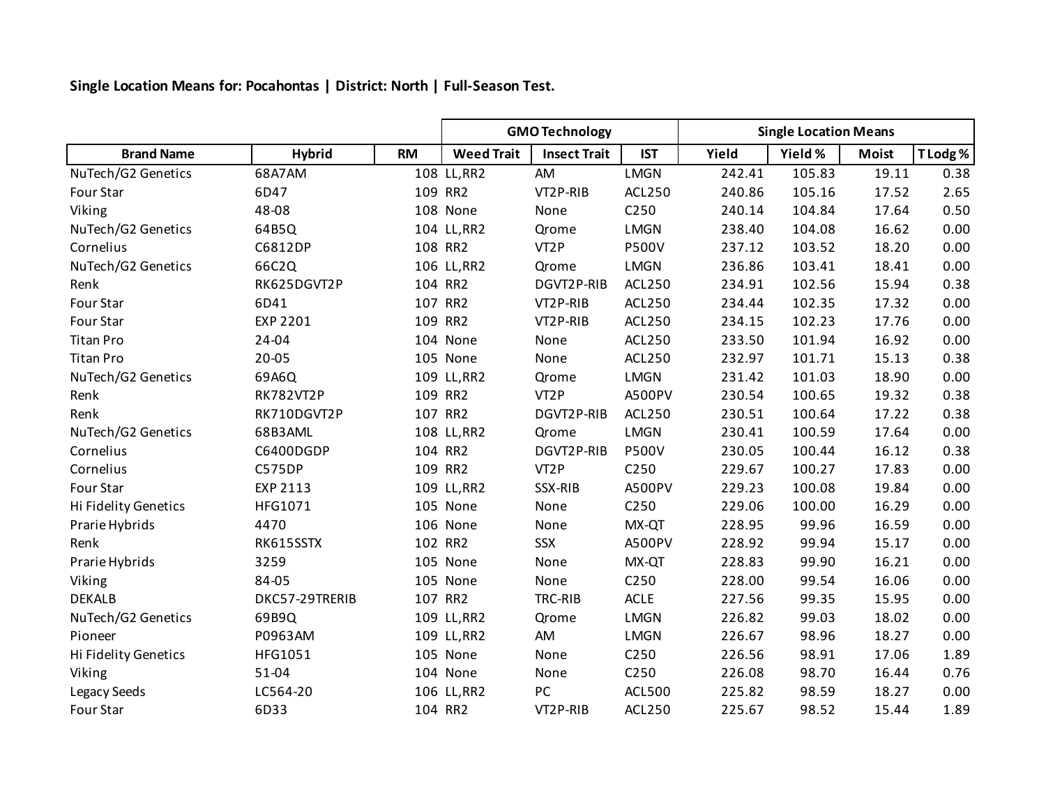**Single Location Means for: Pocahontas | District: North | Full-Season Test.**

|                      |                  |           | <b>GMO Technology</b> |                     |                  | <b>Single Location Means</b> |         |              |          |
|----------------------|------------------|-----------|-----------------------|---------------------|------------------|------------------------------|---------|--------------|----------|
| <b>Brand Name</b>    | <b>Hybrid</b>    | <b>RM</b> | <b>Weed Trait</b>     | <b>Insect Trait</b> | <b>IST</b>       | Yield                        | Yield % | <b>Moist</b> | T Lodg % |
| NuTech/G2 Genetics   | 68A7AM           |           | 108 LL, RR2           | AM                  | <b>LMGN</b>      | 242.41                       | 105.83  | 19.11        | 0.38     |
| Four Star            | 6D47             |           | 109 RR2               | VT2P-RIB            | ACL250           | 240.86                       | 105.16  | 17.52        | 2.65     |
| Viking               | 48-08            |           | 108 None              | None                | C250             | 240.14                       | 104.84  | 17.64        | 0.50     |
| NuTech/G2 Genetics   | 64B5Q            |           | 104 LL, RR2           | Qrome               | <b>LMGN</b>      | 238.40                       | 104.08  | 16.62        | 0.00     |
| Cornelius            | C6812DP          |           | 108 RR2               | VT <sub>2</sub> P   | <b>P500V</b>     | 237.12                       | 103.52  | 18.20        | 0.00     |
| NuTech/G2 Genetics   | 66C2Q            |           | 106 LL, RR2           | Qrome               | <b>LMGN</b>      | 236.86                       | 103.41  | 18.41        | 0.00     |
| Renk                 | RK625DGVT2P      |           | 104 RR2               | DGVT2P-RIB          | ACL250           | 234.91                       | 102.56  | 15.94        | 0.38     |
| Four Star            | 6D41             |           | 107 RR2               | VT2P-RIB            | ACL250           | 234.44                       | 102.35  | 17.32        | 0.00     |
| Four Star            | EXP 2201         |           | 109 RR2               | VT2P-RIB            | ACL250           | 234.15                       | 102.23  | 17.76        | 0.00     |
| <b>Titan Pro</b>     | 24-04            |           | 104 None              | None                | ACL250           | 233.50                       | 101.94  | 16.92        | 0.00     |
| <b>Titan Pro</b>     | 20-05            |           | 105 None              | None                | ACL250           | 232.97                       | 101.71  | 15.13        | 0.38     |
| NuTech/G2 Genetics   | 69A6Q            |           | 109 LL, RR2           | Qrome               | <b>LMGN</b>      | 231.42                       | 101.03  | 18.90        | 0.00     |
| Renk                 | <b>RK782VT2P</b> |           | 109 RR2               | VT <sub>2</sub> P   | A500PV           | 230.54                       | 100.65  | 19.32        | 0.38     |
| Renk                 | RK710DGVT2P      |           | 107 RR2               | DGVT2P-RIB          | ACL250           | 230.51                       | 100.64  | 17.22        | 0.38     |
| NuTech/G2 Genetics   | 68B3AML          |           | 108 LL, RR2           | Qrome               | LMGN             | 230.41                       | 100.59  | 17.64        | 0.00     |
| Cornelius            | C6400DGDP        |           | 104 RR2               | DGVT2P-RIB          | <b>P500V</b>     | 230.05                       | 100.44  | 16.12        | 0.38     |
| Cornelius            | C575DP           |           | 109 RR2               | VT <sub>2</sub> P   | C250             | 229.67                       | 100.27  | 17.83        | 0.00     |
| Four Star            | EXP 2113         |           | 109 LL, RR2           | SSX-RIB             | A500PV           | 229.23                       | 100.08  | 19.84        | 0.00     |
| Hi Fidelity Genetics | HFG1071          |           | 105 None              | None                | C250             | 229.06                       | 100.00  | 16.29        | 0.00     |
| Prarie Hybrids       | 4470             |           | 106 None              | None                | MX-QT            | 228.95                       | 99.96   | 16.59        | 0.00     |
| Renk                 | RK615SSTX        |           | 102 RR2               | SSX                 | A500PV           | 228.92                       | 99.94   | 15.17        | 0.00     |
| Prarie Hybrids       | 3259             |           | 105 None              | None                | MX-QT            | 228.83                       | 99.90   | 16.21        | 0.00     |
| Viking               | 84-05            |           | 105 None              | None                | C250             | 228.00                       | 99.54   | 16.06        | 0.00     |
| <b>DEKALB</b>        | DKC57-29TRERIB   |           | 107 RR2               | TRC-RIB             | ACLE             | 227.56                       | 99.35   | 15.95        | 0.00     |
| NuTech/G2 Genetics   | 69B9Q            |           | 109 LL, RR2           | Qrome               | <b>LMGN</b>      | 226.82                       | 99.03   | 18.02        | 0.00     |
| Pioneer              | P0963AM          |           | 109 LL, RR2           | AM                  | <b>LMGN</b>      | 226.67                       | 98.96   | 18.27        | 0.00     |
| Hi Fidelity Genetics | HFG1051          |           | 105 None              | None                | C <sub>250</sub> | 226.56                       | 98.91   | 17.06        | 1.89     |
| Viking               | 51-04            |           | 104 None              | None                | C250             | 226.08                       | 98.70   | 16.44        | 0.76     |
| Legacy Seeds         | LC564-20         |           | 106 LL, RR2           | PC                  | <b>ACL500</b>    | 225.82                       | 98.59   | 18.27        | 0.00     |
| Four Star            | 6D33             |           | 104 RR2               | VT2P-RIB            | <b>ACL250</b>    | 225.67                       | 98.52   | 15.44        | 1.89     |